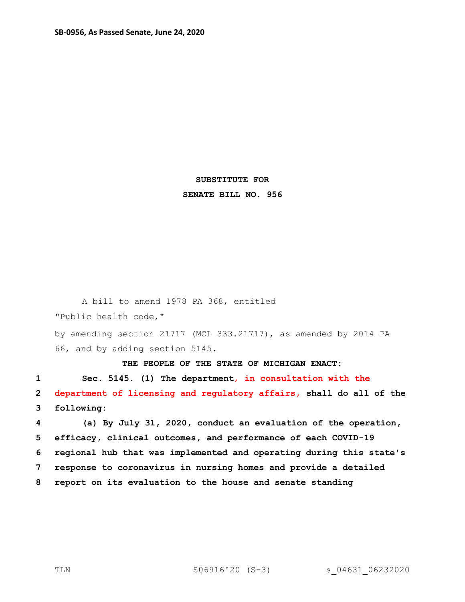## **SUBSTITUTE FOR SENATE BILL NO. 956**

A bill to amend 1978 PA 368, entitled "Public health code,"

by amending section 21717 (MCL 333.21717), as amended by 2014 PA 66, and by adding section 5145.

**THE PEOPLE OF THE STATE OF MICHIGAN ENACT:**

**1 Sec. 5145. (1) The department**, **in consultation with the 2 department of licensing and regulatory affairs, shall do all of the 3 following:**

 **(a) By July 31, 2020, conduct an evaluation of the operation, efficacy, clinical outcomes, and performance of each COVID-19 regional hub that was implemented and operating during this state's response to coronavirus in nursing homes and provide a detailed report on its evaluation to the house and senate standing**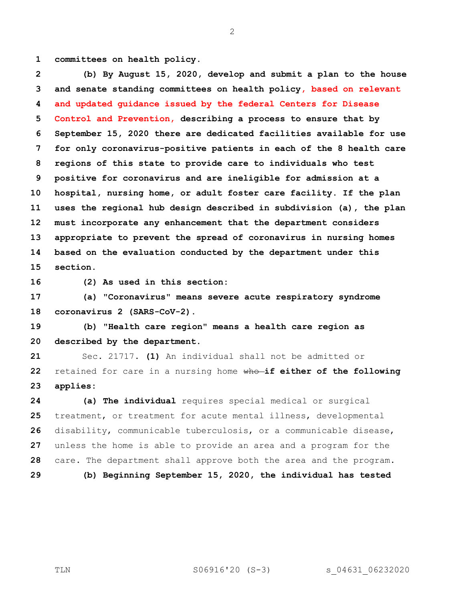**committees on health policy.**

 **(b) By August 15, 2020, develop and submit a plan to the house and senate standing committees on health policy, based on relevant and updated guidance issued by the federal Centers for Disease Control and Prevention, describing a process to ensure that by September 15, 2020 there are dedicated facilities available for use for only coronavirus-positive patients in each of the 8 health care regions of this state to provide care to individuals who test positive for coronavirus and are ineligible for admission at a hospital, nursing home, or adult foster care facility. If the plan uses the regional hub design described in subdivision (a), the plan must incorporate any enhancement that the department considers appropriate to prevent the spread of coronavirus in nursing homes based on the evaluation conducted by the department under this section.**

**(2) As used in this section:**

 **(a) "Coronavirus" means severe acute respiratory syndrome coronavirus 2 (SARS-CoV-2).**

 **(b) "Health care region" means a health care region as described by the department.**

 Sec. 21717. **(1)** An individual shall not be admitted or retained for care in a nursing home who **if either of the following applies:**

 **(a) The individual** requires special medical or surgical treatment, or treatment for acute mental illness, developmental disability, communicable tuberculosis, or a communicable disease, unless the home is able to provide an area and a program for the care. The department shall approve both the area and the program. **(b) Beginning September 15, 2020, the individual has tested**